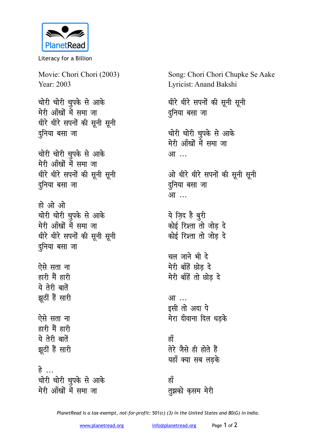

Literacy for a Billion

Movie: Chori Chori (2003) Year: 2003

<u>चोरी चोरी चु</u>पके से आके मेरी आँखों में समा जा **धीरे धीरे सपनों की सूनी सूनी** दुनिया बसा **जा** 

**चोरी चोरी चूपके से आके** मेरी आँखों में समा जा धीरे धीरे सपनों की सूनी सूनी <u>द</u>्रनिया बसा जा

हो ओ ओ **चोरी चोरी चुपके से आके** मेरी आँखों में समा जा धीरे धीरे सपनों की सूनी सूनी दुनिया बसा **जा** 

<u>ऐसे सता ना</u> हारी मैं हारी ये तेरी बातें झूठीं हैं सारी

ऐसे सता ना हारी मैं हारी ये तेरी बातें झूठीं हैं सारी

**हे चोरी चोरी चुपके से आके** मेरी आँखों में समा जा

Song: Chori Chori Chupke Se Aake Lyricist: Anand Bakshi

धीरे धीरे सपनों की सूनी सूनी दुनिया बसा जा

चोरी चोरी चुपके से आके मेरी आँखों में समा जा आ<sup>...</sup>

ओ धीरे धीरे सपनों की सूनी सूनी दुनिया बसा जा आ<sup>...</sup>

ये ज़िद है <u>बु</u>री *कोई रिश्ता तो जोड दे* <u>कोई रिश्ता तो जोड दे</u>

चल जाने भी दे मेरी बाँहें छोड़ दे मेरी बाँहें तो छोड़ दे

आ ... इसी तो अदा पे मेरा दीवाना दिल धडक<mark>े</mark>

<u>ह्राँ</u> **rsjs tSls gh gksrs gSa** यहाँ क्या सब लडके

<u>ह्य</u> तुझको कुसम मेरी

*PlanetRead is a tax-exempt, not-for-profit: 501(c) (3) in the United States and 80(G) in India.*